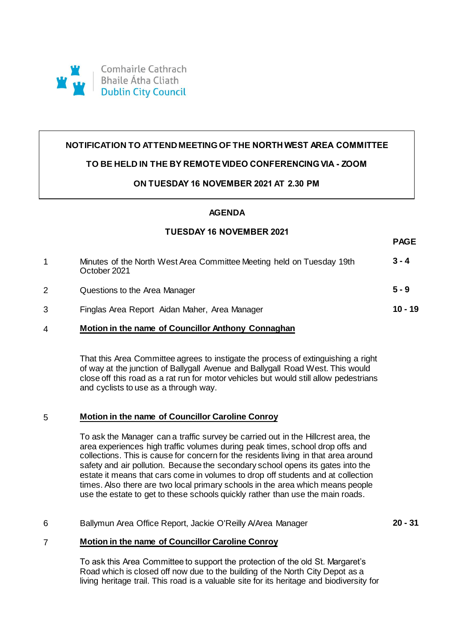

# **NOTIFICATION TO ATTEND MEETING OF THE NORTH WEST AREA COMMITTEE**

### **TO BE HELD IN THE BY REMOTE VIDEO CONFERENCING VIA - ZOOM**

## **ON TUESDAY 16 NOVEMBER 2021 AT 2.30 PM**

## **AGENDA**

#### **TUESDAY 16 NOVEMBER 2021**

**PAGE**

|   | Minutes of the North West Area Committee Meeting held on Tuesday 19th<br>October 2021 | $3 - 4$   |
|---|---------------------------------------------------------------------------------------|-----------|
| 2 | Questions to the Area Manager                                                         | $5 - 9$   |
| 3 | Finglas Area Report Aidan Maher, Area Manager                                         | $10 - 19$ |
|   | Motion in the name of Councillor Anthony Connaghan                                    |           |

That this Area Committee agrees to instigate the process of extinguishing a right of way at the junction of Ballygall Avenue and Ballygall Road West. This would close off this road as a rat run for motor vehicles but would still allow pedestrians and cyclists to use as a through way.

#### 5 **Motion in the name of Councillor Caroline Conroy**

To ask the Manager can a traffic survey be carried out in the Hillcrest area, the area experiences high traffic volumes during peak times, school drop offs and collections. This is cause for concern for the residents living in that area around safety and air pollution. Because the secondary school opens its gates into the estate it means that cars come in volumes to drop off students and at collection times. Also there are two local primary schools in the area which means people use the estate to get to these schools quickly rather than use the main roads.

#### 6 Ballymun Area Office Report, Jackie O'Reilly A/Area Manager **20 - 31**

#### 7 **Motion in the name of Councillor Caroline Conroy**

To ask this Area Committee to support the protection of the old St. Margaret's Road which is closed off now due to the building of the North City Depot as a living heritage trail. This road is a valuable site for its heritage and biodiversity for